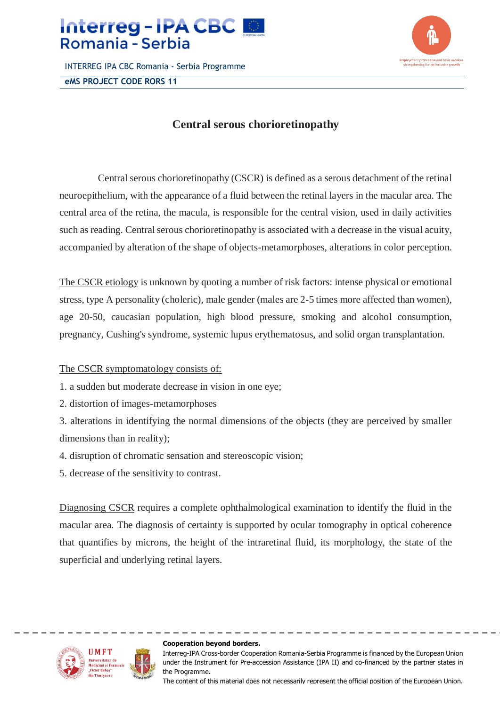

INTERREG IPA CBC Romania - Serbia Programme **eMS PROJECT CODE RORS 11**



## **Central serous chorioretinopathy**

Central serous chorioretinopathy (CSCR) is defined as a serous detachment of the retinal neuroepithelium, with the appearance of a fluid between the retinal layers in the macular area. The central area of the retina, the macula, is responsible for the central vision, used in daily activities such as reading. Central serous chorioretinopathy is associated with a decrease in the visual acuity, accompanied by alteration of the shape of objects-metamorphoses, alterations in color perception.

The CSCR etiology is unknown by quoting a number of risk factors: intense physical or emotional stress, type A personality (choleric), male gender (males are 2-5 times more affected than women), age 20-50, caucasian population, high blood pressure, smoking and alcohol consumption, pregnancy, Cushing's syndrome, systemic lupus erythematosus, and solid organ transplantation.

## The CSCR symptomatology consists of:

- 1. a sudden but moderate decrease in vision in one eye;
- 2. distortion of images-metamorphoses
- 3. alterations in identifying the normal dimensions of the objects (they are perceived by smaller dimensions than in reality);
- 4. disruption of chromatic sensation and stereoscopic vision;
- 5. decrease of the sensitivity to contrast.

Diagnosing CSCR requires a complete ophthalmological examination to identify the fluid in the macular area. The diagnosis of certainty is supported by ocular tomography in optical coherence that quantifies by microns, the height of the intraretinal fluid, its morphology, the state of the superficial and underlying retinal layers.



#### **Cooperation beyond borders.**

Interreg-IPA Cross-border Cooperation Romania-Serbia Programme is financed by the European Union under the Instrument for Pre-accession Assistance (IPA II) and co-financed by the partner states in the Programme.